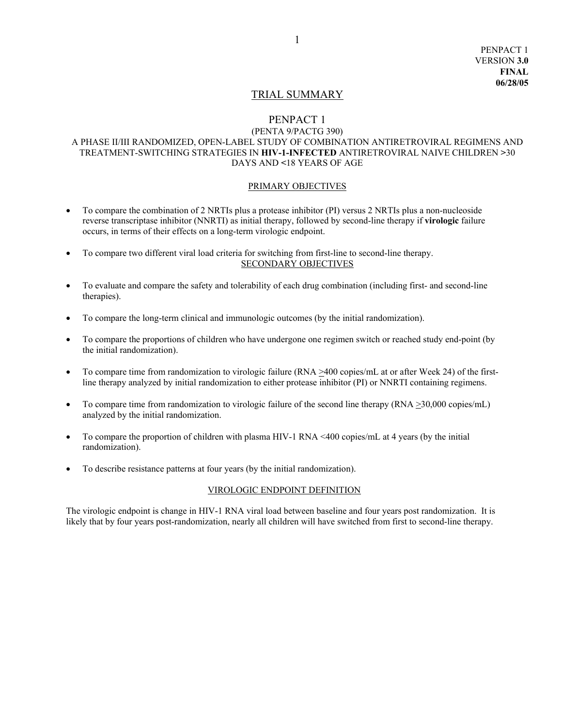# TRIAL SUMMARY

# PENPACT 1

#### (PENTA 9/PACTG 390) A PHASE II/III RANDOMIZED, OPEN-LABEL STUDY OF COMBINATION ANTIRETROVIRAL REGIMENS AND TREATMENT-SWITCHING STRATEGIES IN **HIV-1-INFECTED** ANTIRETROVIRAL NAIVE CHILDREN **>**30 DAYS AND **<**18 YEARS OF AGE

#### PRIMARY OBJECTIVES

- To compare the combination of 2 NRTIs plus a protease inhibitor (PI) versus 2 NRTIs plus a non-nucleoside reverse transcriptase inhibitor (NNRTI) as initial therapy, followed by second-line therapy if **virologic** failure occurs, in terms of their effects on a long-term virologic endpoint.
- To compare two different viral load criteria for switching from first-line to second-line therapy. SECONDARY OBJECTIVES
- To evaluate and compare the safety and tolerability of each drug combination (including first- and second-line therapies).
- To compare the long-term clinical and immunologic outcomes (by the initial randomization).
- To compare the proportions of children who have undergone one regimen switch or reached study end-point (by the initial randomization).
- To compare time from randomization to virologic failure (RNA  $\geq$ 400 copies/mL at or after Week 24) of the firstline therapy analyzed by initial randomization to either protease inhibitor (PI) or NNRTI containing regimens.
- To compare time from randomization to virologic failure of the second line therapy (RNA  $\geq$ 30,000 copies/mL) analyzed by the initial randomization.
- To compare the proportion of children with plasma HIV-1 RNA <400 copies/mL at 4 years (by the initial randomization).
- To describe resistance patterns at four years (by the initial randomization).

# VIROLOGIC ENDPOINT DEFINITION

The virologic endpoint is change in HIV-1 RNA viral load between baseline and four years post randomization. It is likely that by four years post-randomization, nearly all children will have switched from first to second-line therapy.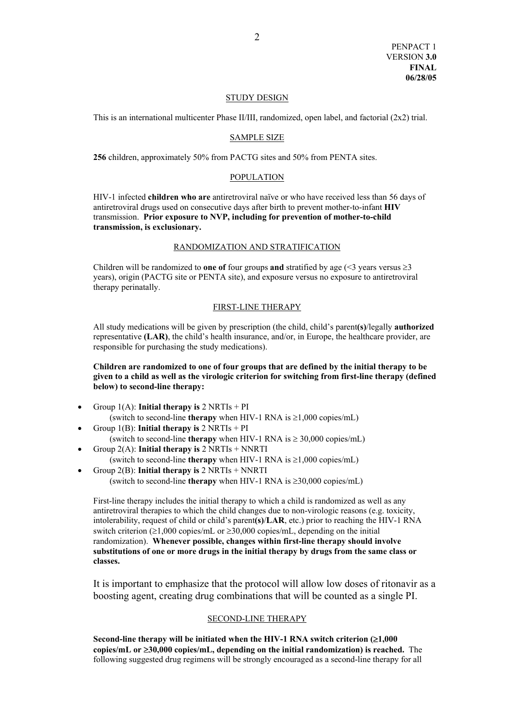#### STUDY DESIGN

This is an international multicenter Phase II/III, randomized, open label, and factorial  $(2x2)$  trial.

#### SAMPLE SIZE

**256** children, approximately 50% from PACTG sites and 50% from PENTA sites.

#### POPULATION

HIV-1 infected **children who are** antiretroviral naïve or who have received less than 56 days of antiretroviral drugs used on consecutive days after birth to prevent mother-to-infant **HIV** transmission. **Prior exposure to NVP, including for prevention of mother-to-child transmission, is exclusionary.** 

#### RANDOMIZATION AND STRATIFICATION

Children will be randomized to **one of** four groups **and** stratified by age ( $\leq$ 3 years versus  $\geq$ 3 years), origin (PACTG site or PENTA site), and exposure versus no exposure to antiretroviral therapy perinatally.

#### FIRST-LINE THERAPY

All study medications will be given by prescription (the child, child's parent**(s)**/legally **authorized**  representative (LAR), the child's health insurance, and/or, in Europe, the healthcare provider, are responsible for purchasing the study medications).

# **Children are randomized to one of four groups that are defined by the initial therapy to be given to a child as well as the virologic criterion for switching from first-line therapy (defined below) to second-line therapy:**

- Group 1(A): **Initial therapy is** 2 NRTIs + PI (switch to second-line **therapy** when HIV-1 RNA is ≥1,000 copies/mL)
- Group 1(B): **Initial therapy is** 2 NRTIs + PI (switch to second-line **therapy** when HIV-1 RNA is ≥ 30,000 copies/mL)
- Group 2(A): **Initial therapy is** 2 NRTIs + NNRTI (switch to second-line **therapy** when HIV-1 RNA is  $\geq 1,000$  copies/mL)
- Group 2(B): **Initial therapy is** 2 NRTIs + NNRTI (switch to second-line **therapy** when HIV-1 RNA is ≥30,000 copies/mL)

First-line therapy includes the initial therapy to which a child is randomized as well as any antiretroviral therapies to which the child changes due to non-virologic reasons (e.g. toxicity, intolerability, request of child or child's parent**(s)**/**LAR**, etc.) prior to reaching the HIV-1 RNA switch criterion ( $\geq 1,000$  copies/mL or  $\geq 30,000$  copies/mL, depending on the initial randomization). **Whenever possible, changes within first-line therapy should involve substitutions of one or more drugs in the initial therapy by drugs from the same class or classes.** 

It is important to emphasize that the protocol will allow low doses of ritonavir as a boosting agent, creating drug combinations that will be counted as a single PI.

#### SECOND-LINE THERAPY

**Second-line therapy will be initiated when the HIV-1 RNA switch criterion (**≥**1,000 copies/mL or** ≥**30,000 copies/mL, depending on the initial randomization) is reached.** The following suggested drug regimens will be strongly encouraged as a second-line therapy for all